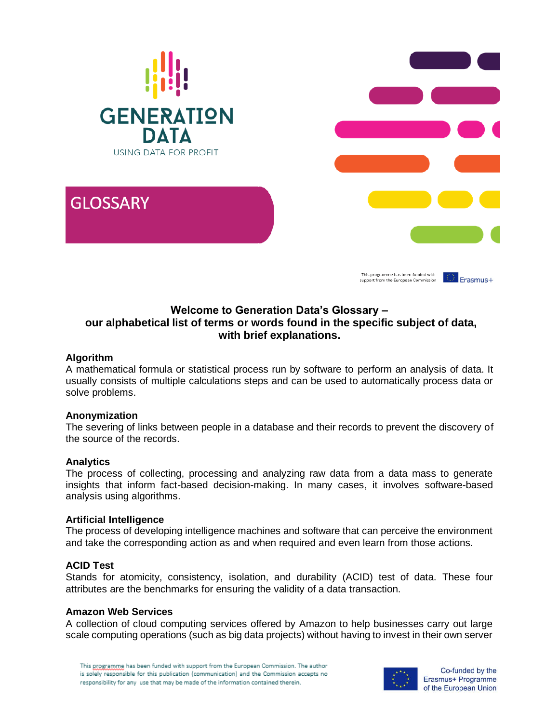

# **Welcome to Generation Data's Glossary – our alphabetical list of terms or words found in the specific subject of data, with brief explanations.**

## **Algorithm**

A mathematical formula or statistical process run by software to perform an analysis of data. It usually consists of multiple calculations steps and can be used to automatically process data or solve problems.

### **Anonymization**

The severing of links between people in a database and their records to prevent the discovery of the source of the records.

### **Analytics**

The process of collecting, processing and analyzing raw data from a data mass to generate insights that inform fact-based decision-making. In many cases, it involves software-based analysis using algorithms.

### **Artificial Intelligence**

The process of developing intelligence machines and software that can perceive the environment and take the corresponding action as and when required and even learn from those actions.

### **ACID Test**

Stands for atomicity, consistency, isolation, and durability (ACID) test of data. These four attributes are the benchmarks for ensuring the validity of a data transaction.

### **Amazon Web Services**

A collection of cloud computing services offered by Amazon to help businesses carry out large scale computing operations (such as big data projects) without having to invest in their own server



Co-funded by the Erasmus+ Programme of the European Union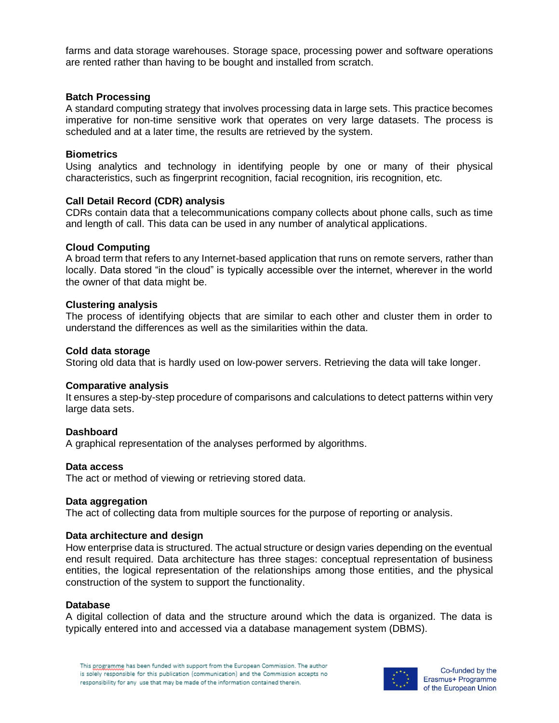farms and data storage warehouses. Storage space, processing power and software operations are rented rather than having to be bought and installed from scratch.

### **Batch Processing**

A standard computing strategy that involves processing data in large sets. This practice becomes imperative for non-time sensitive work that operates on very large datasets. The process is scheduled and at a later time, the results are retrieved by the system.

### **Biometrics**

Using analytics and technology in identifying people by one or many of their physical characteristics, such as fingerprint recognition, facial recognition, iris recognition, etc.

## **Call Detail Record (CDR) analysis**

CDRs contain data that a telecommunications company collects about phone calls, such as time and length of call. This data can be used in any number of analytical applications.

## **Cloud Computing**

A broad term that refers to any Internet-based application that runs on remote servers, rather than locally. Data stored "in the cloud" is typically accessible over the internet, wherever in the world the owner of that data might be.

### **Clustering analysis**

The process of identifying objects that are similar to each other and cluster them in order to understand the differences as well as the similarities within the data.

### **Cold data storage**

Storing old data that is hardly used on low-power servers. Retrieving the data will take longer.

### **Comparative analysis**

It ensures a step-by-step procedure of comparisons and calculations to detect patterns within very large data sets.

### **Dashboard**

A graphical representation of the analyses performed by algorithms.

### **Data access**

The act or method of viewing or retrieving stored data.

### **Data aggregation**

The act of collecting data from multiple sources for the purpose of reporting or analysis.

### **Data architecture and design**

How enterprise data is structured. The actual structure or design varies depending on the eventual end result required. Data architecture has three stages: conceptual representation of business entities, the logical representation of the relationships among those entities, and the physical construction of the system to support the functionality.

#### **Database**

A digital collection of data and the structure around which the data is organized. The data is typically entered into and accessed via a database management system (DBMS).

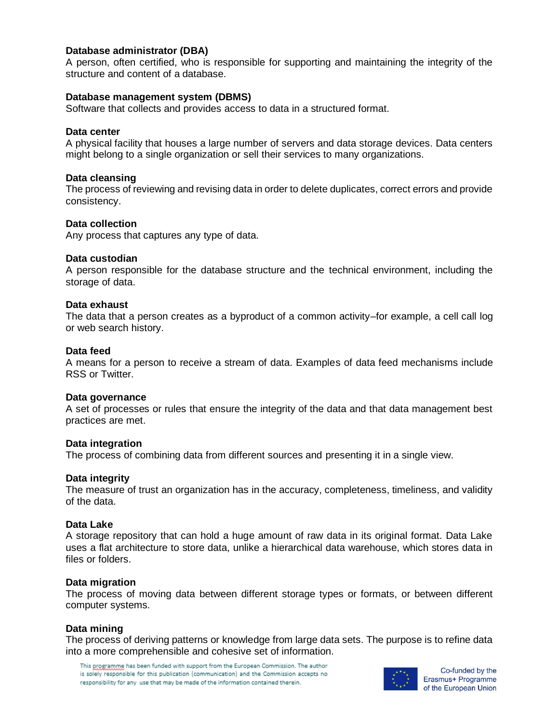## **Database administrator (DBA)**

A person, often certified, who is responsible for supporting and maintaining the integrity of the structure and content of a database.

#### **Database management system (DBMS)**

Software that collects and provides access to data in a structured format.

#### **Data center**

A physical facility that houses a large number of servers and data storage devices. Data centers might belong to a single organization or sell their services to many organizations.

#### **Data cleansing**

The process of reviewing and revising data in order to delete duplicates, correct errors and provide consistency.

#### **Data collection**

Any process that captures any type of data.

#### **Data custodian**

A person responsible for the database structure and the technical environment, including the storage of data.

#### **Data exhaust**

The data that a person creates as a byproduct of a common activity–for example, a cell call log or web search history.

#### **Data feed**

A means for a person to receive a stream of data. Examples of data feed mechanisms include RSS or Twitter.

#### **Data governance**

A set of processes or rules that ensure the integrity of the data and that data management best practices are met.

### **Data integration**

The process of combining data from different sources and presenting it in a single view.

### **Data integrity**

The measure of trust an organization has in the accuracy, completeness, timeliness, and validity of the data.

#### **Data Lake**

A storage repository that can hold a huge amount of raw data in its original format. Data Lake uses a flat architecture to store data, unlike a hierarchical data warehouse, which stores data in files or folders.

### **Data migration**

The process of moving data between different storage types or formats, or between different computer systems.

### **Data mining**

The process of deriving patterns or knowledge from large data sets. The purpose is to refine data into a more comprehensible and cohesive set of information.

This programme has been funded with support from the European Commission. The author is solely responsible for this publication (communication) and the Commission accepts no responsibility for any use that may be made of the information contained therein.



Co-funded by the Erasmus+ Programme of the European Union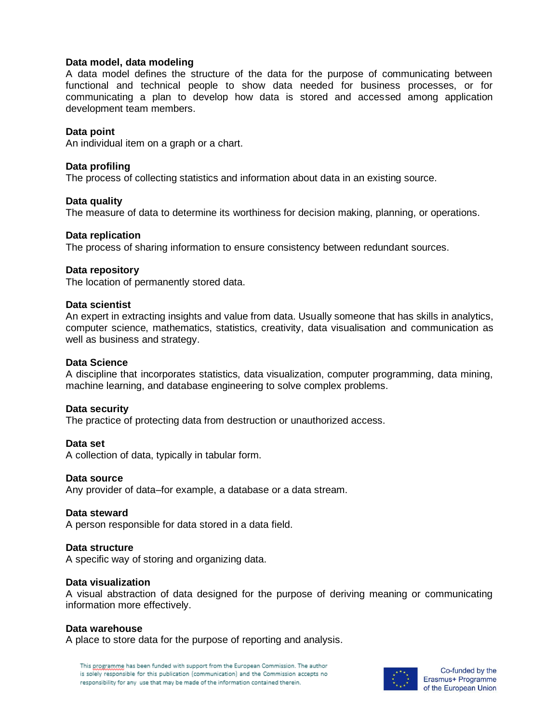## **Data model, data modeling**

A data model defines the structure of the data for the purpose of communicating between functional and technical people to show data needed for business processes, or for communicating a plan to develop how data is stored and accessed among application development team members.

### **Data point**

An individual item on a graph or a chart.

## **Data profiling**

The process of collecting statistics and information about data in an existing source.

## **Data quality**

The measure of data to determine its worthiness for decision making, planning, or operations.

## **Data replication**

The process of sharing information to ensure consistency between redundant sources.

## **Data repository**

The location of permanently stored data.

### **Data scientist**

An expert in extracting insights and value from data. Usually someone that has skills in analytics, computer science, mathematics, statistics, creativity, data visualisation and communication as well as business and strategy.

### **Data Science**

A discipline that incorporates statistics, data visualization, computer programming, data mining, machine learning, and database engineering to solve complex problems.

### **Data security**

The practice of protecting data from destruction or unauthorized access.

**Data set** A collection of data, typically in tabular form.

### **Data source**

Any provider of data–for example, a database or a data stream.

### **Data steward**

A person responsible for data stored in a data field.

### **Data structure**

A specific way of storing and organizing data.

### **Data visualization**

A visual abstraction of data designed for the purpose of deriving meaning or communicating information more effectively.

### **Data warehouse**

A place to store data for the purpose of reporting and analysis.

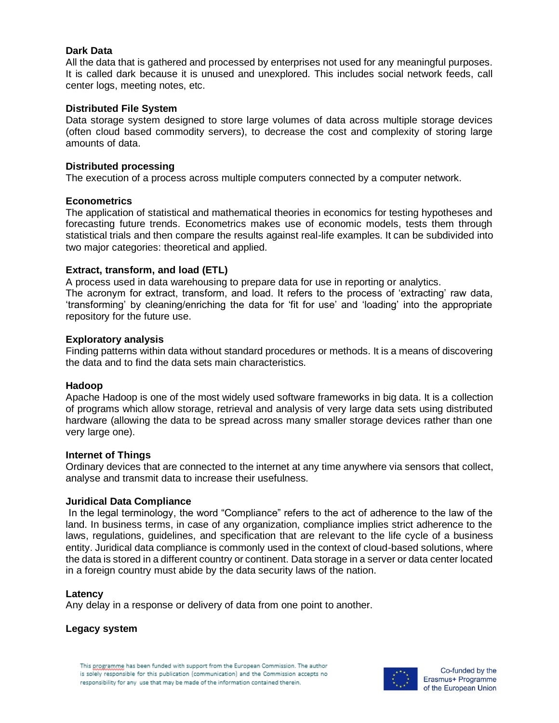## **Dark Data**

All the data that is gathered and processed by enterprises not used for any meaningful purposes. It is called dark because it is unused and unexplored. This includes social network feeds, call center logs, meeting notes, etc.

## **Distributed File System**

Data storage system designed to store large volumes of data across multiple storage devices (often cloud based commodity servers), to decrease the cost and complexity of storing large amounts of data.

### **Distributed processing**

The execution of a process across multiple computers connected by a computer network.

## **Econometrics**

The application of statistical and mathematical theories in economics for testing hypotheses and forecasting future trends. Econometrics makes use of economic models, tests them through statistical trials and then compare the results against real-life examples. It can be subdivided into two major categories: theoretical and applied.

## **Extract, transform, and load (ETL)**

A process used in data warehousing to prepare data for use in reporting or analytics. The acronym for extract, transform, and load. It refers to the process of 'extracting' raw data, 'transforming' by cleaning/enriching the data for 'fit for use' and 'loading' into the appropriate repository for the future use.

## **Exploratory analysis**

Finding patterns within data without standard procedures or methods. It is a means of discovering the data and to find the data sets main characteristics.

### **Hadoop**

Apache Hadoop is one of the most widely used software frameworks in big data. It is a collection of programs which allow storage, retrieval and analysis of very large data sets using distributed hardware (allowing the data to be spread across many smaller storage devices rather than one very large one).

### **Internet of Things**

Ordinary devices that are connected to the internet at any time anywhere via sensors that collect, analyse and transmit data to increase their usefulness.

### **Juridical Data Compliance**

In the legal terminology, the word "Compliance" refers to the act of adherence to the law of the land. In business terms, in case of any organization, compliance implies strict adherence to the laws, regulations, guidelines, and specification that are relevant to the life cycle of a business entity. Juridical data compliance is commonly used in the context of cloud-based solutions, where the data is stored in a different country or continent. Data storage in a server or data center located in a foreign country must abide by the data security laws of the nation.

### **Latency**

Any delay in a response or delivery of data from one point to another.

# **Legacy system**

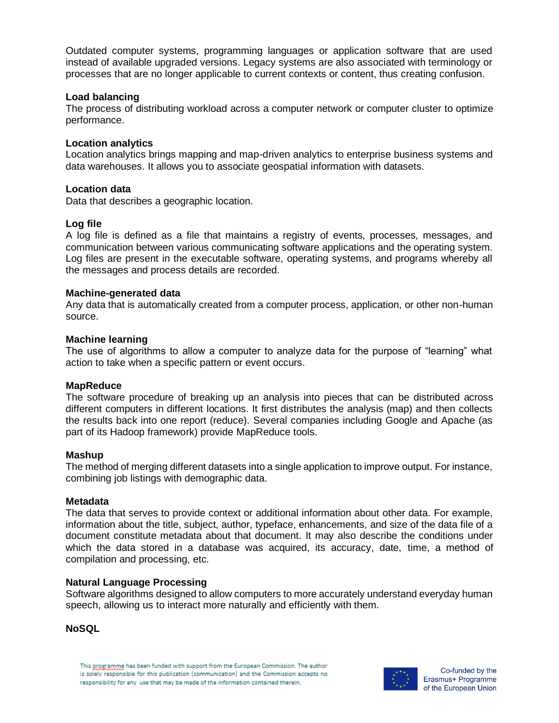Outdated computer systems, programming languages or application software that are used instead of available upgraded versions. Legacy systems are also associated with terminology or processes that are no longer applicable to current contexts or content, thus creating confusion.

### **Load balancing**

The process of distributing workload across a computer network or computer cluster to optimize performance.

### **Location analytics**

Location analytics brings mapping and map-driven analytics to enterprise business systems and data warehouses. It allows you to associate geospatial information with datasets.

### **Location data**

Data that describes a geographic location.

## **Log file**

A log file is defined as a file that maintains a registry of events, processes, messages, and communication between various communicating software applications and the operating system. Log files are present in the executable software, operating systems, and programs whereby all the messages and process details are recorded.

### **Machine-generated data**

Any data that is automatically created from a computer process, application, or other non-human source.

## **Machine learning**

The use of algorithms to allow a computer to analyze data for the purpose of "learning" what action to take when a specific pattern or event occurs.

### **MapReduce**

The software procedure of breaking up an analysis into pieces that can be distributed across different computers in different locations. It first distributes the analysis (map) and then collects the results back into one report (reduce). Several companies including Google and Apache (as part of its Hadoop framework) provide MapReduce tools.

### **Mashup**

The method of merging different datasets into a single application to improve output. For instance, combining job listings with demographic data.

### **Metadata**

The data that serves to provide context or additional information about other data. For example, information about the title, subject, author, typeface, enhancements, and size of the data file of a document constitute metadata about that document. It may also describe the conditions under which the data stored in a database was acquired, its accuracy, date, time, a method of compilation and processing, etc.

### **Natural Language Processing**

Software algorithms designed to allow computers to more accurately understand everyday human speech, allowing us to interact more naturally and efficiently with them.

### **NoSQL**

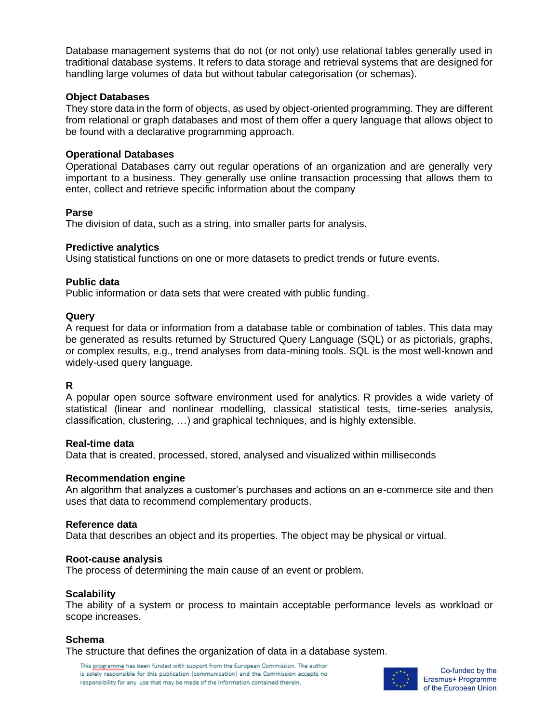Database management systems that do not (or not only) use relational tables generally used in traditional database systems. It refers to data storage and retrieval systems that are designed for handling large volumes of data but without tabular categorisation (or schemas).

## **Object Databases**

They store data in the form of objects, as used by object-oriented programming. They are different from relational or graph databases and most of them offer a query language that allows object to be found with a declarative programming approach.

## **Operational Databases**

Operational Databases carry out regular operations of an organization and are generally very important to a business. They generally use online transaction processing that allows them to enter, collect and retrieve specific information about the company

## **Parse**

The division of data, such as a string, into smaller parts for analysis.

## **Predictive analytics**

Using statistical functions on one or more datasets to predict trends or future events.

# **Public data**

Public information or data sets that were created with public funding.

## **Query**

A request for data or information from a database table or combination of tables. This data may be generated as results returned by Structured Query Language (SQL) or as pictorials, graphs, or complex results, e.g., trend analyses from data-mining tools. SQL is the most well-known and widely-used query language.

# **R**

A popular open source software environment used for analytics. R provides a wide variety of statistical (linear and nonlinear modelling, classical statistical tests, time-series analysis, classification, clustering, …) and graphical techniques, and is highly extensible.

### **Real-time data**

Data that is created, processed, stored, analysed and visualized within milliseconds

# **Recommendation engine**

An algorithm that analyzes a customer's purchases and actions on an e-commerce site and then uses that data to recommend complementary products.

### **Reference data**

Data that describes an object and its properties. The object may be physical or virtual.

### **Root-cause analysis**

The process of determining the main cause of an event or problem.

# **Scalability**

The ability of a system or process to maintain acceptable performance levels as workload or scope increases.

# **Schema**

The structure that defines the organization of data in a database system.

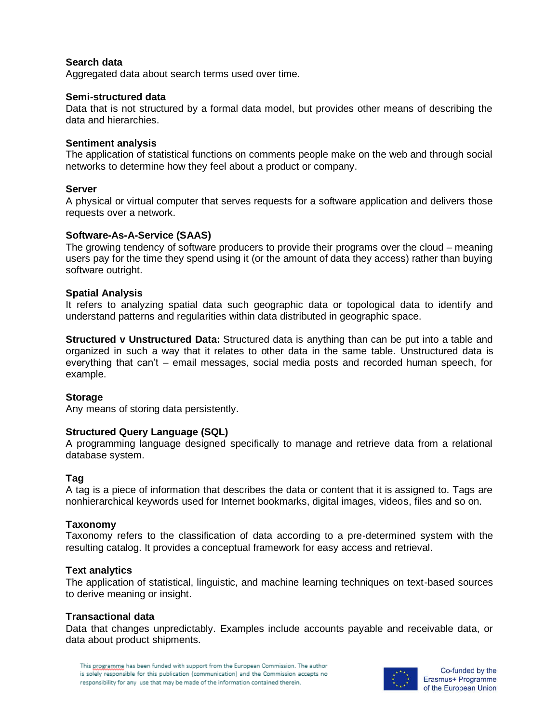# **Search data**

Aggregated data about search terms used over time.

### **Semi-structured data**

Data that is not structured by a formal data model, but provides other means of describing the data and hierarchies.

### **Sentiment analysis**

The application of statistical functions on comments people make on the web and through social networks to determine how they feel about a product or company.

## **Server**

A physical or virtual computer that serves requests for a software application and delivers those requests over a network.

## **Software-As-A-Service (SAAS)**

The growing tendency of software producers to provide their programs over the cloud – meaning users pay for the time they spend using it (or the amount of data they access) rather than buying software outright.

## **Spatial Analysis**

It refers to analyzing spatial data such geographic data or topological data to identify and understand patterns and regularities within data distributed in geographic space.

**Structured v Unstructured Data:** Structured data is anything than can be put into a table and organized in such a way that it relates to other data in the same table. Unstructured data is everything that can't – email messages, social media posts and recorded human speech, for example.

# **Storage**

Any means of storing data persistently.

### **Structured Query Language (SQL)**

A programming language designed specifically to manage and retrieve data from a relational database system.

# **Tag**

A tag is a piece of information that describes the data or content that it is assigned to. Tags are nonhierarchical keywords used for Internet bookmarks, digital images, videos, files and so on.

### **Taxonomy**

Taxonomy refers to the classification of data according to a pre-determined system with the resulting catalog. It provides a conceptual framework for easy access and retrieval.

### **Text analytics**

The application of statistical, linguistic, and machine learning techniques on text-based sources to derive meaning or insight.

### **Transactional data**

Data that changes unpredictably. Examples include accounts payable and receivable data, or data about product shipments.